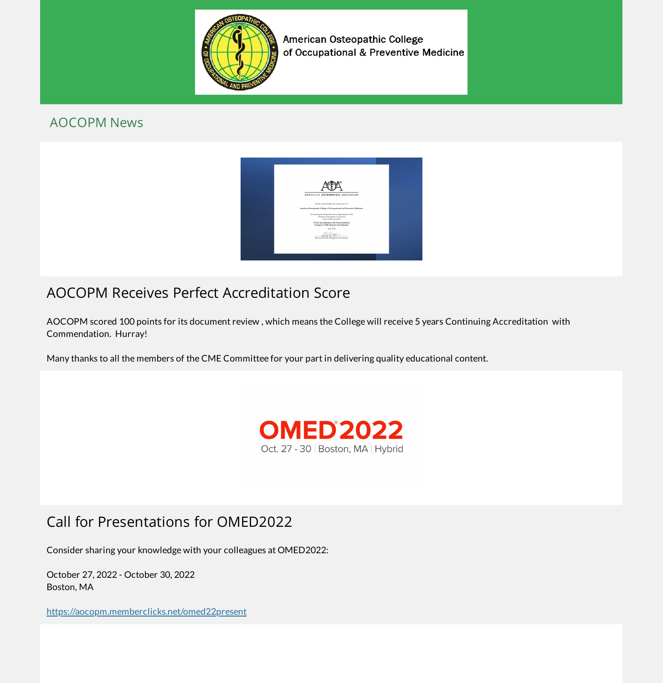

American Osteopathic College of Occupational & Preventive Medicine

#### AOCOPM News



# AOCOPM Receives Perfect Accreditation Score

AOCOPM scored 100 points for its document review , which means the College will receive 5 years Continuing Accreditation with Commendation. Hurray!

Many thanks to all the members of the CME Committee for your part in delivering quality educational content.



# Call for Presentations for OMED2022

Consider sharing your knowledge with your colleagues at OMED2022:

October 27, 2022 - October 30, 2022 Boston, MA

<https://aocopm.memberclicks.net/omed22present>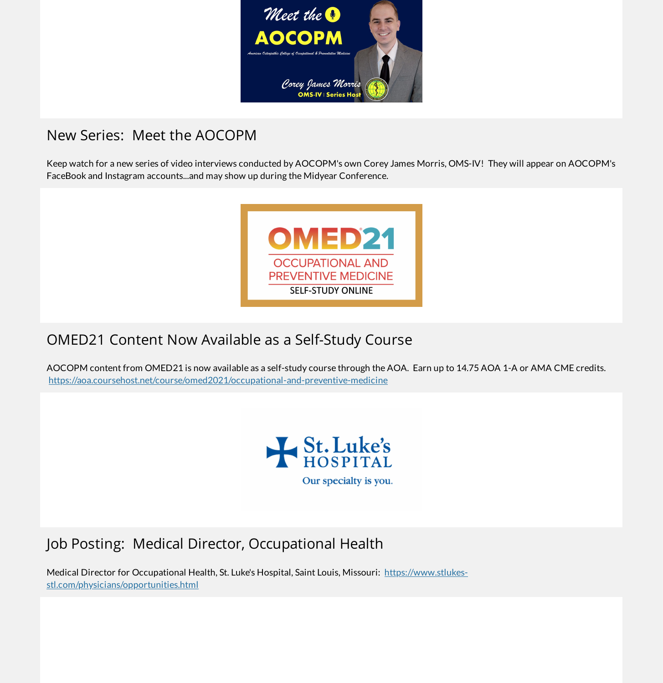

## New Series: Meet the AOCOPM

Keep watch for a new series of video interviews conducted by AOCOPM's own Corey James Morris, OMS-IV! They will appear on AOCOPM's FaceBook and Instagram accounts...and may show up during the Midyear Conference.



## OMED21 Content Now Available as a Self-Study Course

AOCOPM content from OMED21 is now available as a self-study course through the AOA. Earn up to 14.75 AOA 1-A or AMA CME credits. <https://aoa.coursehost.net/course/omed2021/occupational-and-preventive-medicine>



# Job Posting: Medical Director, Occupational Health

Medical Director for Occupational Health, St. Luke's Hospital, Saint Louis, Missouri: https://www.stlukes[stl.com/physicians/opportunities.html](https://www.stlukes-stl.com/physicians/opportunities.html)